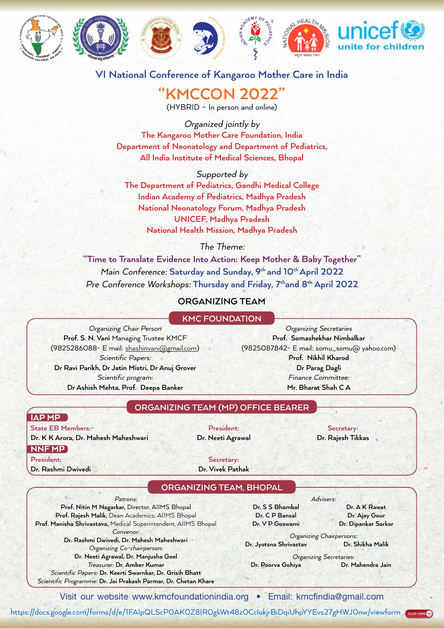







# **VI National Conference of Kangaroo Mother Care in India VI National Conference of Kangaroo Mother Care in India**

## **"KMCCON 2022" "KMCCON 2022"** (HYBRID – In person and online)

(HYBRID – In person and online) Organized jointly by

**The Kangaroo Motive Care Foundation Care Foundation**,  $\frac{1}{2}$  by **The Kangaroo Mother Care Foundation, India Department of Neonatology and Department of Pediatrics,**  All India Institute of Medical Sciences, Bhopal **AII** Ine Ka

# Supported by

**The Department of Pediatrics, Gandhi Medical College Indian Academy of Pediatrics, Madhya Pradesh National Neonatology Forum, Madhya Pradesh Time to Translate Evidence Into Action: Time to Translate Evidence Into Action: Time to Translate Evidence Into Action: Time to Translate Evidence Into Action: Time to Translate Evidence Into Action: Time to Translate Evi National Health Mission, Madhya Pradesh National Made Separator Forum** Pre Conference Workshops: **Sunday to Friday 13th to 19th February, 2022**

### The Theme:

**"Time to Translate Evidence Into Action: Keep Mother & Baby Together" Organizing Team, Bhopal** Main Conference: Saturday and Sunday, 9<sup>th</sup> and 10<sup>th</sup> April 2022 Pre Conference Workshops: Thursday and Friday, 7<sup>th</sup>and 8<sup>th</sup> April 2022 **KMC Foundation Prof. Nitin M Nagarkar,** Director, AIIMS Bhopal ursday anc Dean Academics, AIIMS Bhopal **ORGANIZING TEAM**

#### **ORGANIZING TEAM Prof. Manisha Shrivastava** MEDICAL SUPERINTENDENT, AND

#### Advisers: **KMC FOUNDATION**

Organizing Chair Person **Prof. S. N. Vani Managing Trustee KMCF** (9825286088- E mail: shashinvani@gmail.com) **Dr Ashish Mehta, Prof. Deepa Banker** Scientific Papers: **Dr Ravi Parikh, Dr Jatin Mistri, Dr Anuj Grover** Scientific program: **Dr Ashish Mehta, Prof. Deepa Banker**  $Proof.$   $S.$ Exhibition: **Ms. Raksha Parmar** Finance Committee: **Mr. Bharat Shah C A**

Organizing Secretaries **Prof. Somashekhar Nimbalkar** (9825087842- E mail: somu\_somu@ yahoo.com) **Prof. Jyotsna Shrivastav Prof. Shikha Malik Prof. Nikhil Kharod Dr Parag Dagli** Finance Committee: **Mr. Bharat Shah C A Dr C P Bansal Prof Rashmi Dwivedi Dr V P Goswami Dr Ajay Gaura**  $\mathcal{N}=\mathcal{R}$ 

IAP MP

**ORGANIZING TEAM (MP) OFFICE BEARER**

#### *Visit our website www.kmcfoundationindia.org, Email:* kmcfindia@gmail.com **State EB Members:- President: Secretary:**

**Dr Parag Dagli**

**Dr. K K Arora, Dr. Mahesh Maheshwari Dr. Neeti Agrawal Dr. Rajesh Tikkas** NNF MP

**President: Secretary:**

**Dr. Rashmi Dwivedi Dr. Vivek Pathak**

### **ORGANIZING TEAM, BHOPAL**

Patrons: **Prof. Nitin M Nagarkar,** Director, AIIMS Bhopal **Prof. Rajesh Malik,** Dean Academics, AIIMS Bhopal **Prof. Manisha Shrivastava,** Medical Superintendent, AIIMS Bhopal Convenor: **Dr. Rashmi Dwivedi, Dr. Mahesh Maheshwari** Organizing Co-chairperson:

**Dr. Neeti Agrawal, Dr. Manjusha Goel** Treasurer: **Dr. Amber Kumar**

Scientific Papers: **Dr. Keerti Swarnkar, Dr. Grisih Bhatt** Scientific Programme: **Dr. Jai Prakash Parmar, Dr. Chetan Khare**

Advisers: **Dr. S S Bhambal Dr. A K Rawat Dr. C P Bansal Dr. Ajay Gour**

**Dr. V P Goswami Dr. Dipankar Sarkar**

Organizing Chairpersons: **Dr. Jyotsna Shrivastav Dr. Shikha Malik**

Organizing Secretaries: **Dr. Poorva Gohiya Dr. Mahendra Jain**

Visit our website www.kmcfoundationindia.org • Email: kmcfindia@gmail.com

https://docs.google.com/forms/d/e/1FAIpQLScPOAKOZ8IROgkWt48zOCclokjrBiDqiUhpYYEvs27gHWJOnw/viewform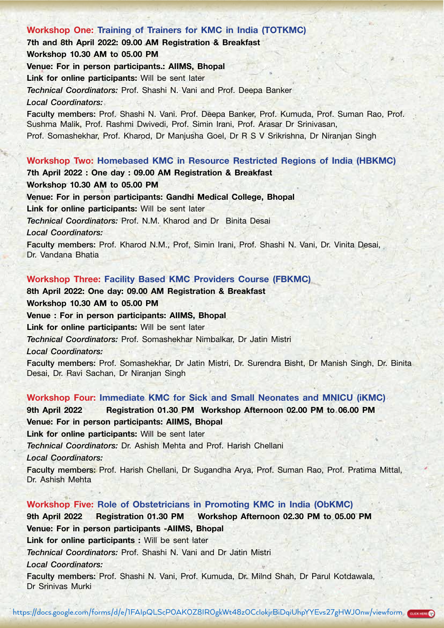# Workshop One: Training of Trainers for KMC in India (TOTKMC) 7th and 8th April 2022: 09.00 AM Registration & Breakfast Workshop 10.30 AM to 05.00 PM Venue: For in person participants.: AIIMS, Bhopal Link for online participants: Will be sent later *Technical Coordinators:* Prof. Shashi N. Vani and Prof. Deepa Banker *Local Coordinators:* Faculty members: Prof. Shashi N. Vani. Prof. Deepa Banker, Prof. Kumuda, Prof. Suman Rao, Prof. Sushma Malik, Prof. Rashmi Dwivedi, Prof. Simin Irani, Prof. Arasar Dr Srinivasan, Prof. Somashekhar, Prof. Kharod, Dr Manjusha Goel, Dr R S V Srikrishna, Dr Niranjan Singh Workshop Two: Homebased KMC in Resource Restricted Regions of India (HBKMC) 7th April 2022 : One day : 09.00 AM Registration & Breakfast

Workshop 10.30 AM to 05.00 PM Venue: For in person participants: Gandhi Medical College, Bhopal Link for online participants: Will be sent later *Technical Coordinators:* Prof. N.M. Kharod and Dr Binita Desai *Local Coordinators:* 

Faculty members: Prof. Kharod N.M., Prof, Simin Irani, Prof. Shashi N. Vani, Dr. Vinita Desai, Dr. Vandana Bhatia

### Workshop Three: Facility Based KMC Providers Course (FBKMC)

8th April 2022: One day: 09.00 AM Registration & Breakfast Workshop 10.30 AM to 05.00 PM Venue : For in person participants: AIIMS, Bhopal Link for online participants: Will be sent later *Technical Coordinators:* Prof. Somashekhar Nimbalkar, Dr Jatin Mistri *Local Coordinators:* 

Faculty members: Prof. Somashekhar, Dr Jatin Mistri, Dr. Surendra Bisht, Dr Manish Singh, Dr. Binita Desai, Dr. Ravi Sachan, Dr Niranjan Singh

#### Workshop Four: Immediate KMC for Sick and Small Neonates and MNICU (iKMC)

9th April 2022 Registration 01.30 PM Workshop Afternoon 02.00 PM to 06.00 PM Venue: For in person participants: AIIMS, Bhopal

Link for online participants: Will be sent later

*Technical Coordinators:* Dr. Ashish Mehta and Prof. Harish Chellani

*Local Coordinators:*

Faculty members: Prof. Harish Chellani, Dr Sugandha Arya, Prof. Suman Rao, Prof. Pratima Mittal, Dr. Ashish Mehta

#### Workshop Five: Role of Obstetricians in Promoting KMC in India (ObKMC)

9th April 2022 Registration 01.30 PM Workshop Afternoon 02.30 PM to 05.00 PM Venue: For in person participants -AIIMS, Bhopal

Link for online participants : Will be sent later

*Technical Coordinators:* Prof. Shashi N. Vani and Dr Jatin Mistri

*Local Coordinators:* 

Faculty members: Prof. Shashi N. Vani, Prof. Kumuda, Dr. Milnd Shah, Dr Parul Kotdawala, Dr Srinivas Murki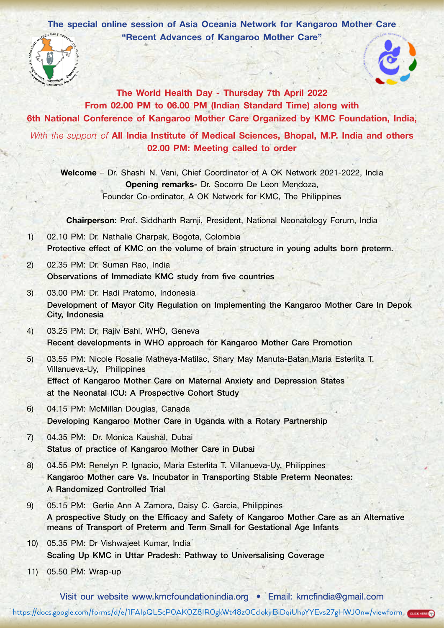The special online session of Asia Oceania Network for Kangaroo Mother Care "Recent Advances of Kangaroo Mother Care"





The World Health Day - Thursday 7th April 2022 From 02.00 PM to 06.00 PM (Indian Standard Time) along with 6th National Conference of Kangaroo Mother Care Organized by KMC Foundation, India, *With the support of* All India Institute of Medical Sciences, Bhopal, M.P. India and others 02.00 PM: Meeting called to order

Welcome – Dr. Shashi N. Vani, Chief Coordinator of A OK Network 2021-2022, India Opening remarks- Dr. Socorro De Leon Mendoza, Founder Co-ordinator, A OK Network for KMC, The Philippines

Chairperson: Prof. Siddharth Ramji, President, National Neonatology Forum, India

- 1) 02.10 PM: Dr. Nathalie Charpak, Bogota, Colombia Protective effect of KMC on the volume of brain structure in young adults born preterm.
- 2) 02.35 PM: Dr. Suman Rao, India Observations of Immediate KMC study from five countries
- 3) 03.00 PM: Dr. Hadi Pratomo, Indonesia Development of Mayor City Regulation on Implementing the Kangaroo Mother Care In Depok City, Indonesia
- 4) 03.25 PM: Dr, Rajiv Bahl, WHO, Geneva Recent developments in WHO approach for Kangaroo Mother Care Promotion
- 5) 03.55 PM: Nicole Rosalie Matheya-Matilac, Shary May Manuta-Batan,Maria Esterlita T. Villanueva-Uy, Philippines Effect of Kangaroo Mother Care on Maternal Anxiety and Depression States at the Neonatal ICU: A Prospective Cohort Study
- 6) 04.15 PM: McMillan Douglas, Canada Developing Kangaroo Mother Care in Uganda with a Rotary Partnership
- 7) 04.35 PM: Dr. Monica Kaushal, Dubai Status of practice of Kangaroo Mother Care in Dubai
- 8) 04.55 PM: Renelyn P. Ignacio, Maria Esterlita T. Villanueva-Uy, Philippines Kangaroo Mother care Vs. Incubator in Transporting Stable Preterm Neonates: A Randomized Controlled Trial
- 9) 05.15 PM: Gerlie Ann A Zamora, Daisy C. Garcia, Philippines A prospective Study on the Efficacy and Safety of Kangaroo Mother Care as an Alternative means of Transport of Preterm and Term Small for Gestational Age Infants
- 10) 05.35 PM: Dr Vishwajeet Kumar, India Scaling Up KMC in Uttar Pradesh: Pathway to Universalising Coverage
- 11) 05.50 PM: Wrap-up

https://docs.google.com/forms/d/e/1FAIpQLScP0AK0Z8IROgkWt48zOCclokjrBiDqiUhpYYEvs27gHWJOnw/viewform Visit our website www.kmcfoundationindia.org • Email: kmcfindia@gmail.com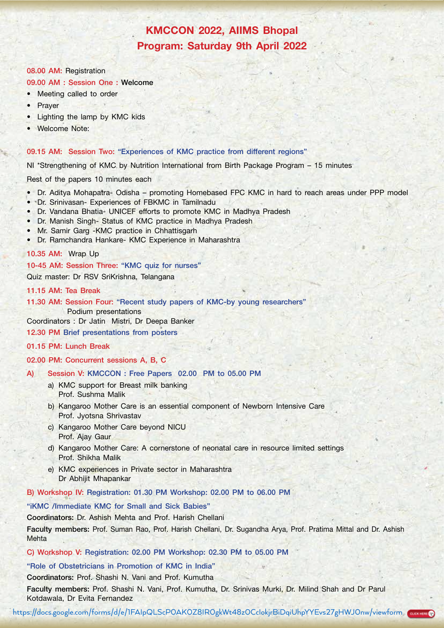# KMCCON 2022, AIIMS Bhopal Program: Saturday 9th April 2022

#### 08.00 AM: Registration

#### 09.00 AM : Session One : Welcome

- Meeting called to order
- Prayer
- Lighting the lamp by KMC kids
- Welcome Note:

#### 09.15 AM: Session Two: "Experiences of KMC practice from different regions"

NI \*Strengthening of KMC by Nutrition International from Birth Package Program – 15 minutes

Rest of the papers 10 minutes each

- Dr. Aditya Mohapatra- Odisha promoting Homebased FPC KMC in hard to reach areas under PPP model
- Dr. Srinivasan- Experiences of FBKMC in Tamilnadu
- Dr. Vandana Bhatia- UNICEF efforts to promote KMC in Madhya Pradesh
- Dr. Manish Singh- Status of KMC practice in Madhya Pradesh
- Mr. Samir Garg -KMC practice in Chhattisgarh
- Dr. Ramchandra Hankare- KMC Experience in Maharashtra

#### 10.35 AM: Wrap Up

10-45 AM: Session Three: "KMC quiz for nurses"

Quiz master: Dr RSV SriKrishna, Telangana

#### 11.15 AM: Tea Break

11.30 AM: Session Four: "Recent study papers of KMC-by young researchers" Podium presentations

Coordinators : Dr Jatin Mistri, Dr Deepa Banker

12.30 PM Brief presentations from posters

#### 01.15 PM: Lunch Break

02.00 PM: Concurrent sessions A, B, C

- A) Session V: KMCCON : Free Papers 02.00 PM to 05.00 PM
	- a) KMC support for Breast milk banking Prof. Sushma Malik
	- b) Kangaroo Mother Care is an essential component of Newborn Intensive Care Prof. Jyotsna Shrivastav
	- c) Kangaroo Mother Care beyond NICU Prof. Ajay Gaur
	- d) Kangaroo Mother Care: A cornerstone of neonatal care in resource limited settings Prof. Shikha Malik
	- e) KMC experiences in Private sector in Maharashtra Dr Abhijit Mhapankar

B) Workshop IV: Registration: 01.30 PM Workshop: 02.00 PM to 06.00 PM

#### "iKMC /Immediate KMC for Small and Sick Babies"

Coordinators: Dr. Ashish Mehta and Prof. Harish Chellani

Faculty members: Prof. Suman Rao, Prof. Harish Chellani, Dr. Sugandha Arya, Prof. Pratima Mittal and Dr. Ashish Mehta

C) Workshop V: Registration: 02.00 PM Workshop: 02.30 PM to 05.00 PM

#### "Role of Obstetricians in Promotion of KMC in India"

#### Coordinators: Prof. Shashi N. Vani and Prof. Kumutha

Faculty members: Prof. Shashi N. Vani, Prof. Kumutha, Dr. Srinivas Murki, Dr. Milind Shah and Dr Parul Kotdawala, Dr Evita Fernandez

https://docs.google.com/forms/d/e/1FAIpQLScPOAKOZ8IROgkWt48zOCclokjrBiDqiUhpYYEvs27gHWJOnw/viewform